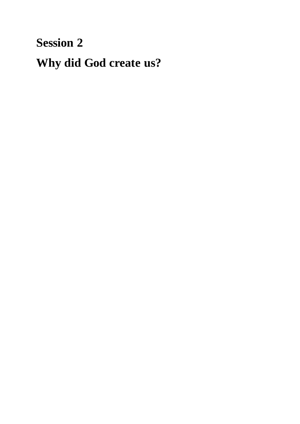# **Session 2 Why did God create us?**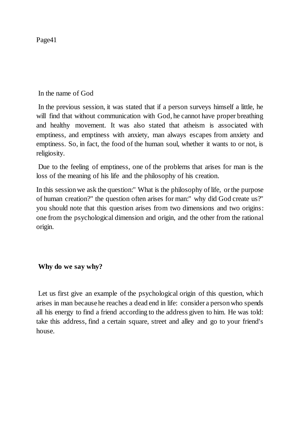In the name of God

In the previous session, it was stated that if a person surveys himself a little, he will find that without communication with God, he cannot have proper breathing and healthy movement. It was also stated that atheism is associated with emptiness, and emptiness with anxiety, man always escapes from anxiety and emptiness. So, in fact, the food of the human soul, whether it wants to or not, is religiosity.

Due to the feeling of emptiness, one of the problems that arises for man is the loss of the meaning of his life and the philosophy of his creation.

In this session we ask the question:" What is the philosophy of life, or the purpose of human creation?" the question often arises for man:" why did God create us?" you should note that this question arises from two dimensions and two origins: one from the psychological dimension and origin, and the other from the rational origin.

# **Why do we say why?**

Let us first give an example of the psychological origin of this question, which arises in man because he reaches a dead end in life: consider a person who spends all his energy to find a friend according to the address given to him. He was told: take this address, find a certain square, street and alley and go to your friend's house.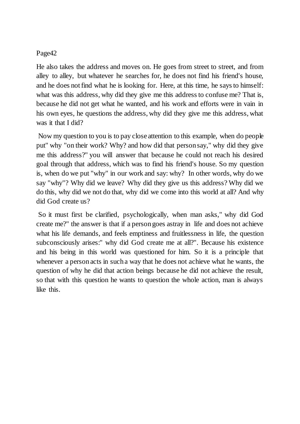He also takes the address and moves on. He goes from street to street, and from alley to alley, but whatever he searches for, he does not find his friend's house, and he does not find what he is looking for. Here, at this time, he says to himself: what was this address, why did they give me this address to confuse me? That is, because he did not get what he wanted, and his work and efforts were in vain in his own eyes, he questions the address, why did they give me this address, what was it that I did?

Now my question to you is to pay close attention to this example, when do people put" why "on their work? Why? and how did that person say," why did they give me this address?" you will answer that because he could not reach his desired goal through that address, which was to find his friend's house. So my question is, when do we put "why" in our work and say: why? In other words, why do we say "why"? Why did we leave? Why did they give us this address? Why did we do this, why did we not do that, why did we come into this world at all? And why did God create us?

So it must first be clarified, psychologically, when man asks," why did God create me?" the answer is that if a person goes astray in life and does not achieve what his life demands, and feels emptiness and fruitlessness in life, the question subconsciously arises:" why did God create me at all?". Because his existence and his being in this world was questioned for him. So it is a principle that whenever a person acts in such a way that he does not achieve what he wants, the question of why he did that action beings because he did not achieve the result, so that with this question he wants to question the whole action, man is always like this.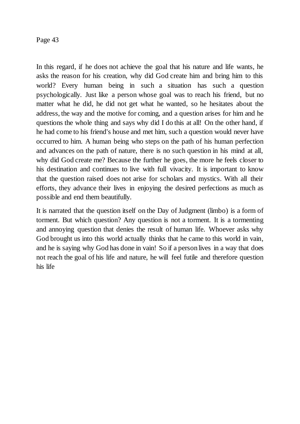In this regard, if he does not achieve the goal that his nature and life wants, he asks the reason for his creation, why did God create him and bring him to this world? Every human being in such a situation has such a question psychologically. Just like a person whose goal was to reach his friend, but no matter what he did, he did not get what he wanted, so he hesitates about the address, the way and the motive for coming, and a question arises for him and he questions the whole thing and says why did I do this at all! On the other hand, if he had come to his friend's house and met him, such a question would never have occurred to him. A human being who steps on the path of his human perfection and advances on the path of nature, there is no such question in his mind at all, why did God create me? Because the further he goes, the more he feels closer to his destination and continues to live with full vivacity. It is important to know that the question raised does not arise for scholars and mystics. With all their efforts, they advance their lives in enjoying the desired perfections as much as possible and end them beautifully.

It is narrated that the question itself on the Day of Judgment (limbo) is a form of torment. But which question? Any question is not a torment. It is a tormenting and annoying question that denies the result of human life. Whoever asks why God brought us into this world actually thinks that he came to this world in vain, and he is saying why God has done in vain! So if a person lives in a way that does not reach the goal of his life and nature, he will feel futile and therefore question his life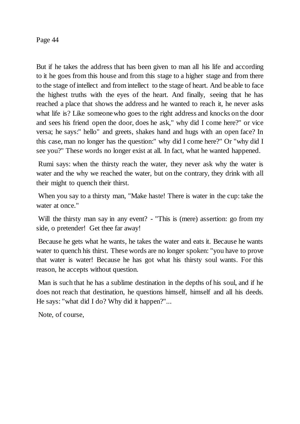But if he takes the address that has been given to man all his life and according to it he goes from this house and from this stage to a higher stage and from there to the stage of intellect and from intellect to the stage of heart. And be able to face the highest truths with the eyes of the heart. And finally, seeing that he has reached a place that shows the address and he wanted to reach it, he never asks what life is? Like someone who goes to the right address and knocks on the door and sees his friend open the door, does he ask," why did I come here?" or vice versa; he says:" hello" and greets, shakes hand and hugs with an open face? In this case, man no longer has the question:" why did I come here?" Or "why did I see you?" These words no longer exist at all. In fact, what he wanted happened.

Rumi says: when the thirsty reach the water, they never ask why the water is water and the why we reached the water, but on the contrary, they drink with all their might to quench their thirst.

When you say to a thirsty man, "Make haste! There is water in the cup: take the water at once."

Will the thirsty man say in any event? - "This is (mere) assertion: go from my side, o pretender! Get thee far away!

Because he gets what he wants, he takes the water and eats it. Because he wants water to quench his thirst. These words are no longer spoken: "you have to prove that water is water! Because he has got what his thirsty soul wants. For this reason, he accepts without question.

Man is such that he has a sublime destination in the depths of his soul, and if he does not reach that destination, he questions himself, himself and all his deeds. He says: "what did I do? Why did it happen?"...

Note, of course,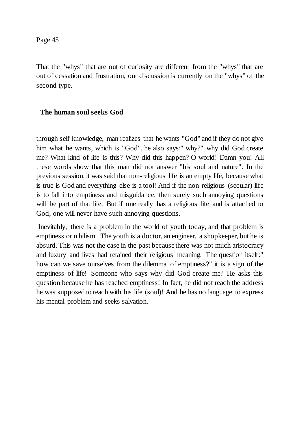That the "whys" that are out of curiosity are different from the "whys" that are out of cessation and frustration, our discussion is currently on the "whys" of the second type.

# **The human soul seeks God**

through self-knowledge, man realizes that he wants "God" and if they do not give him what he wants, which is "God", he also says:" why?" why did God create me? What kind of life is this? Why did this happen? O world! Damn you! All these words show that this man did not answer "his soul and nature". In the previous session, it was said that non-religious life is an empty life, because what is true is God and everything else is a tool! And if the non-religious (secular) life is to fall into emptiness and misguidance, then surely such annoying questions will be part of that life. But if one really has a religious life and is attached to God, one will never have such annoying questions.

Inevitably, there is a problem in the world of youth today, and that problem is emptiness or nihilism. The youth is a doctor, an engineer, a shopkeeper, but he is absurd. This was not the case in the past because there was not much aristocracy and luxury and lives had retained their religious meaning. The question itself:" how can we save ourselves from the dilemma of emptiness?" it is a sign of the emptiness of life! Someone who says why did God create me? He asks this question because he has reached emptiness! In fact, he did not reach the address he was supposed to reach with his life (soul)! And he has no language to express his mental problem and seeks salvation.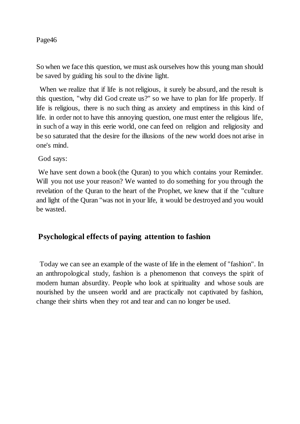So when we face this question, we must ask ourselves how this young man should be saved by guiding his soul to the divine light.

When we realize that if life is not religious, it surely be absurd, and the result is this question, "why did God create us?" so we have to plan for life properly. If life is religious, there is no such thing as anxiety and emptiness in this kind of life. in order not to have this annoying question, one must enter the religious life, in such of a way in this eerie world, one can feed on religion and religiosity and be so saturated that the desire for the illusions of the new world does not arise in one's mind.

God says:

We have sent down a book (the Quran) to you which contains your Reminder. Will you not use your reason? We wanted to do something for you through the revelation of the Quran to the heart of the Prophet, we knew that if the "culture and light of the Quran "was not in your life, it would be destroyed and you would be wasted.

# **Psychological effects of paying attention to fashion**

 Today we can see an example of the waste of life in the element of "fashion". In an anthropological study, fashion is a phenomenon that conveys the spirit of modern human absurdity. People who look at spirituality and whose souls are nourished by the unseen world and are practically not captivated by fashion, change their shirts when they rot and tear and can no longer be used.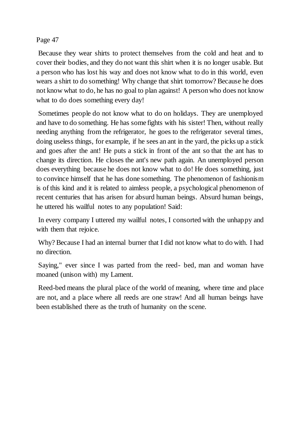Because they wear shirts to protect themselves from the cold and heat and to cover their bodies, and they do not want this shirt when it is no longer usable. But a person who has lost his way and does not know what to do in this world, even wears a shirt to do something! Why change that shirt tomorrow? Because he does not know what to do, he has no goal to plan against! A person who does not know what to do does something every day!

Sometimes people do not know what to do on holidays. They are unemployed and have to do something. He has some fights with his sister! Then, without really needing anything from the refrigerator, he goes to the refrigerator several times, doing useless things, for example, if he sees an ant in the yard, the picks up a stick and goes after the ant! He puts a stick in front of the ant so that the ant has to change its direction. He closes the ant's new path again. An unemployed person does everything because he does not know what to do! He does something, just to convince himself that he has done something. The phenomenon of fashionism is of this kind and it is related to aimless people, a psychological phenomenon of recent centuries that has arisen for absurd human beings. Absurd human beings, he uttered his wailful notes to any population! Said:

In every company I uttered my wailful notes, I consorted with the unhappy and with them that rejoice.

Why? Because I had an internal burner that I did not know what to do with. I had no direction.

Saying," ever since I was parted from the reed- bed, man and woman have moaned (unison with) my Lament.

Reed-bed means the plural place of the world of meaning, where time and place are not, and a place where all reeds are one straw! And all human beings have been established there as the truth of humanity on the scene.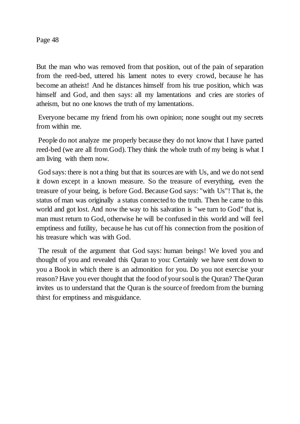But the man who was removed from that position, out of the pain of separation from the reed-bed, uttered his lament notes to every crowd, because he has become an atheist! And he distances himself from his true position, which was himself and God, and then says: all my lamentations and cries are stories of atheism, but no one knows the truth of my lamentations.

Everyone became my friend from his own opinion; none sought out my secrets from within me.

People do not analyze me properly because they do not know that I have parted reed-bed (we are all from God). They think the whole truth of my being is what I am living with them now.

God says: there is not a thing but that its sources are with Us, and we do not send it down except in a known measure. So the treasure of everything, even the treasure of your being, is before God. Because God says: "with Us"! That is, the status of man was originally a status connected to the truth. Then he came to this world and got lost. And now the way to his salvation is "we turn to God" that is, man must return to God, otherwise he will be confused in this world and will feel emptiness and futility, because he has cut off his connection from the position of his treasure which was with God.

The result of the argument that God says: human beings! We loved you and thought of you and revealed this Quran to you: Certainly we have sent down to you a Book in which there is an admonition for you. Do you not exercise your reason? Have you ever thought that the food of your soul is the Quran? The Quran invites us to understand that the Quran is the source of freedom from the burning thirst for emptiness and misguidance.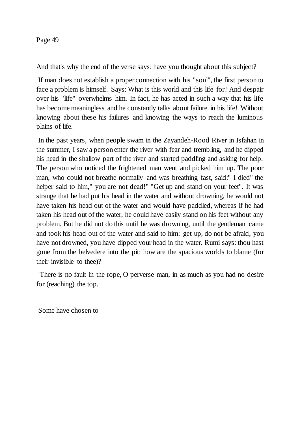And that's why the end of the verse says: have you thought about this subject?

If man does not establish a proper connection with his "soul", the first person to face a problem is himself. Says: What is this world and this life for? And despair over his "life" overwhelms him. In fact, he has acted in such a way that his life has become meaningless and he constantly talks about failure in his life! Without knowing about these his failures and knowing the ways to reach the luminous plains of life.

In the past years, when people swam in the Zayandeh-Rood River in Isfahan in the summer, I saw a person enter the river with fear and trembling, and he dipped his head in the shallow part of the river and started paddling and asking for help. The person who noticed the frightened man went and picked him up. The poor man, who could not breathe normally and was breathing fast, said:" I died" the helper said to him," you are not dead!" "Get up and stand on your feet". It was strange that he had put his head in the water and without drowning, he would not have taken his head out of the water and would have paddled, whereas if he had taken his head out of the water, he could have easily stand on his feet without any problem. But he did not do this until he was drowning, until the gentleman came and took his head out of the water and said to him: get up, do not be afraid, you have not drowned, you have dipped your head in the water. Rumi says: thou hast gone from the belvedere into the pit: how are the spacious worlds to blame (for their invisible to thee)?

 There is no fault in the rope, O perverse man, in as much as you had no desire for (reaching) the top.

Some have chosen to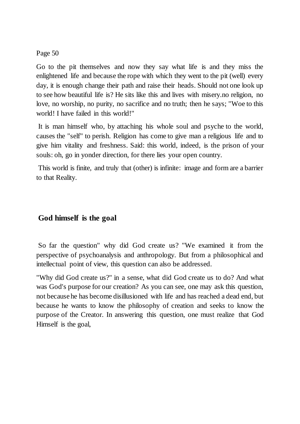Go to the pit themselves and now they say what life is and they miss the enlightened life and because the rope with which they went to the pit (well) every day, it is enough change their path and raise their heads. Should not one look up to see how beautiful life is? He sits like this and lives with misery.no religion, no love, no worship, no purity, no sacrifice and no truth; then he says; "Woe to this world! I have failed in this world!"

It is man himself who, by attaching his whole soul and psyche to the world, causes the "self" to perish. Religion has come to give man a religious life and to give him vitality and freshness. Said: this world, indeed, is the prison of your souls: oh, go in yonder direction, for there lies your open country.

This world is finite, and truly that (other) is infinite: image and form are a barrier to that Reality.

# **God himself is the goal**

So far the question" why did God create us? "We examined it from the perspective of psychoanalysis and anthropology. But from a philosophical and intellectual point of view, this question can also be addressed.

"Why did God create us?" in a sense, what did God create us to do? And what was God's purpose for our creation? As you can see, one may ask this question, not because he has become disillusioned with life and has reached a dead end, but because he wants to know the philosophy of creation and seeks to know the purpose of the Creator. In answering this question, one must realize that God Himself is the goal,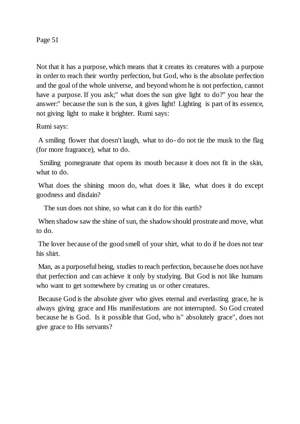Not that it has a purpose, which means that it creates its creatures with a purpose in order to reach their worthy perfection, but God, who is the absolute perfection and the goal of the whole universe, and beyond whom he is not perfection, cannot have a purpose. If you ask;" what does the sun give light to do?" you hear the answer:" because the sun is the sun, it gives light! Lighting is part of its essence, not giving light to make it brighter. Rumi says:

Rumi says:

A smiling flower that doesn't laugh, what to do- do not tie the musk to the flag (for more fragrance), what to do.

 Smiling pomegranate that opens its mouth because it does not fit in the skin, what to do.

What does the shining moon do, what does it like, what does it do except goodness and disdain?

The sun does not shine, so what can it do for this earth?

When shadow saw the shine of sun, the shadow should prostrate and move, what to do.

The lover because of the good smell of your shirt, what to do if he does not tear his shirt.

Man, as a purposeful being, studies to reach perfection, because he does not have that perfection and can achieve it only by studying. But God is not like humans who want to get somewhere by creating us or other creatures.

Because God is the absolute giver who gives eternal and everlasting grace, he is always giving grace and His manifestations are not interrupted. So God created because he is God. Is it possible that God, who is" absolutely grace", does not give grace to His servants?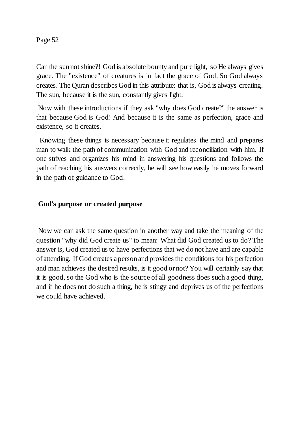Can the sun not shine?! God is absolute bounty and pure light, so He always gives grace. The "existence" of creatures is in fact the grace of God. So God always creates. The Quran describes God in this attribute: that is, God is always creating. The sun, because it is the sun, constantly gives light.

Now with these introductions if they ask "why does God create?" the answer is that because God is God! And because it is the same as perfection, grace and existence, so it creates.

 Knowing these things is necessary because it regulates the mind and prepares man to walk the path of communication with God and reconciliation with him. If one strives and organizes his mind in answering his questions and follows the path of reaching his answers correctly, he will see how easily he moves forward in the path of guidance to God.

# **God's purpose or created purpose**

Now we can ask the same question in another way and take the meaning of the question "why did God create us" to mean: What did God created us to do? The answer is, God created us to have perfections that we do not have and are capable of attending. If God creates a person and provides the conditions for his perfection and man achieves the desired results, is it good or not? You will certainly say that it is good, so the God who is the source of all goodness does such a good thing, and if he does not do such a thing, he is stingy and deprives us of the perfections we could have achieved.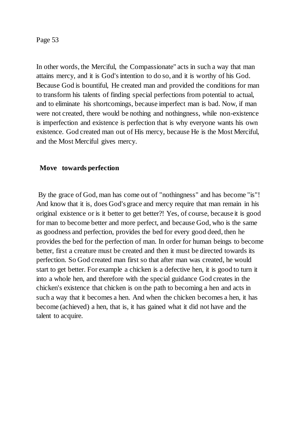In other words, the Merciful, the Compassionate" acts in such a way that man attains mercy, and it is God's intention to do so, and it is worthy of his God. Because God is bountiful, He created man and provided the conditions for man to transform his talents of finding special perfections from potential to actual, and to eliminate his shortcomings, because imperfect man is bad. Now, if man were not created, there would be nothing and nothingness, while non-existence is imperfection and existence is perfection that is why everyone wants his own existence. God created man out of His mercy, because He is the Most Merciful, and the Most Merciful gives mercy.

## **Move towards perfection**

By the grace of God, man has come out of "nothingness" and has become "is"! And know that it is, does God's grace and mercy require that man remain in his original existence or is it better to get better?! Yes, of course, because it is good for man to become better and more perfect, and because God, who is the same as goodness and perfection, provides the bed for every good deed, then he provides the bed for the perfection of man. In order for human beings to become better, first a creature must be created and then it must be directed towards its perfection. So God created man first so that after man was created, he would start to get better. For example a chicken is a defective hen, it is good to turn it into a whole hen, and therefore with the special guidance God creates in the chicken's existence that chicken is on the path to becoming a hen and acts in such a way that it becomes a hen. And when the chicken becomes a hen, it has become (achieved) a hen, that is, it has gained what it did not have and the talent to acquire.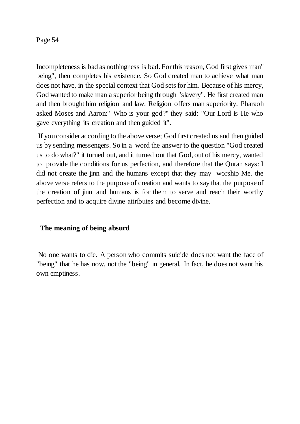Incompleteness is bad as nothingness is bad. For this reason, God first gives man" being", then completes his existence. So God created man to achieve what man does not have, in the special context that God sets for him. Because of his mercy, God wanted to make man a superior being through "slavery". He first created man and then brought him religion and law. Religion offers man superiority. Pharaoh asked Moses and Aaron:" Who is your god?" they said: "Our Lord is He who gave everything its creation and then guided it".

If you consider according to the above verse; God first created us and then guided us by sending messengers. So in a word the answer to the question "God created us to do what?" it turned out, and it turned out that God, out of his mercy, wanted to provide the conditions for us perfection, and therefore that the Quran says: I did not create the jinn and the humans except that they may worship Me. the above verse refers to the purpose of creation and wants to say that the purpose of the creation of jinn and humans is for them to serve and reach their worthy perfection and to acquire divine attributes and become divine.

# **The meaning of being absurd**

No one wants to die. A person who commits suicide does not want the face of "being" that he has now, not the "being" in general. In fact, he does not want his own emptiness.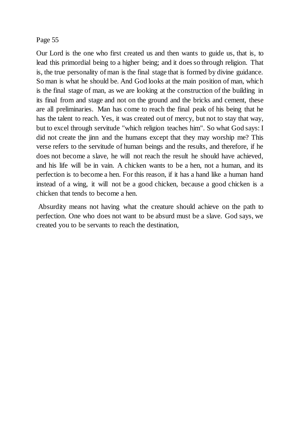Our Lord is the one who first created us and then wants to guide us, that is, to lead this primordial being to a higher being; and it does so through religion. That is, the true personality of man is the final stage that is formed by divine guidance. So man is what he should be. And God looks at the main position of man, which is the final stage of man, as we are looking at the construction of the building in its final from and stage and not on the ground and the bricks and cement, these are all preliminaries. Man has come to reach the final peak of his being that he has the talent to reach. Yes, it was created out of mercy, but not to stay that way, but to excel through servitude "which religion teaches him". So what God says: I did not create the jinn and the humans except that they may worship me? This verse refers to the servitude of human beings and the results, and therefore, if he does not become a slave, he will not reach the result he should have achieved, and his life will be in vain. A chicken wants to be a hen, not a human, and its perfection is to become a hen. For this reason, if it has a hand like a human hand instead of a wing, it will not be a good chicken, because a good chicken is a chicken that tends to become a hen.

Absurdity means not having what the creature should achieve on the path to perfection. One who does not want to be absurd must be a slave. God says, we created you to be servants to reach the destination,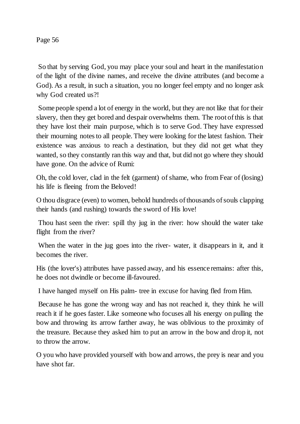So that by serving God, you may place your soul and heart in the manifestation of the light of the divine names, and receive the divine attributes (and become a God). As a result, in such a situation, you no longer feel empty and no longer ask why God created us?!

Some people spend a lot of energy in the world, but they are not like that for their slavery, then they get bored and despair overwhelms them. The root of this is that they have lost their main purpose, which is to serve God. They have expressed their mourning notes to all people. They were looking for the latest fashion. Their existence was anxious to reach a destination, but they did not get what they wanted, so they constantly ran this way and that, but did not go where they should have gone. On the advice of Rumi:

Oh, the cold lover, clad in the felt (garment) of shame, who from Fear of (losing) his life is fleeing from the Beloved!

O thou disgrace (even) to women, behold hundreds of thousands of souls clapping their hands (and rushing) towards the sword of His love!

Thou hast seen the river: spill thy jug in the river: how should the water take flight from the river?

When the water in the jug goes into the river- water, it disappears in it, and it becomes the river.

His (the lover's) attributes have passed away, and his essence remains: after this, he does not dwindle or become ill-favoured.

I have hanged myself on His palm- tree in excuse for having fled from Him.

Because he has gone the wrong way and has not reached it, they think he will reach it if he goes faster. Like someone who focuses all his energy on pulling the bow and throwing its arrow farther away, he was oblivious to the proximity of the treasure. Because they asked him to put an arrow in the bow and drop it, not to throw the arrow.

O you who have provided yourself with bow and arrows, the prey is near and you have shot far.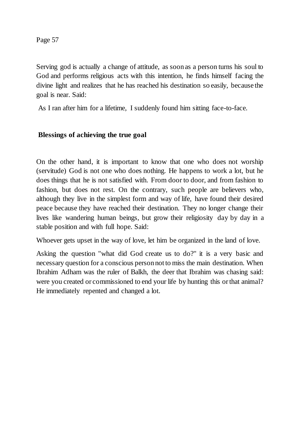Serving god is actually a change of attitude, as soon as a person turns his soul to God and performs religious acts with this intention, he finds himself facing the divine light and realizes that he has reached his destination so easily, because the goal is near. Said:

As I ran after him for a lifetime, I suddenly found him sitting face-to-face.

# **Blessings of achieving the true goal**

On the other hand, it is important to know that one who does not worship (servitude) God is not one who does nothing. He happens to work a lot, but he does things that he is not satisfied with. From door to door, and from fashion to fashion, but does not rest. On the contrary, such people are believers who, although they live in the simplest form and way of life, have found their desired peace because they have reached their destination. They no longer change their lives like wandering human beings, but grow their religiosity day by day in a stable position and with full hope. Said:

Whoever gets upset in the way of love, let him be organized in the land of love.

Asking the question "what did God create us to do?" it is a very basic and necessary question for a conscious person not to miss the main destination. When Ibrahim Adham was the ruler of Balkh, the deer that Ibrahim was chasing said: were you created or commissioned to end your life by hunting this or that animal? He immediately repented and changed a lot.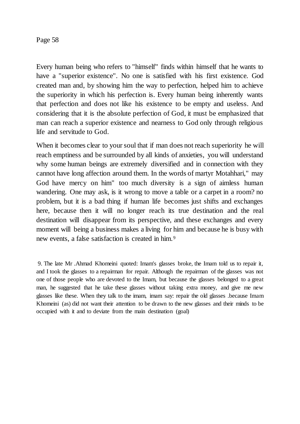Every human being who refers to "himself" finds within himself that he wants to have a "superior existence". No one is satisfied with his first existence. God created man and, by showing him the way to perfection, helped him to achieve the superiority in which his perfection is. Every human being inherently wants that perfection and does not like his existence to be empty and useless. And considering that it is the absolute perfection of God, it must be emphasized that man can reach a superior existence and nearness to God only through religious life and servitude to God.

When it becomes clear to your soul that if man does not reach superiority he will reach emptiness and be surrounded by all kinds of anxieties, you will understand why some human beings are extremely diversified and in connection with they cannot have long affection around them. In the words of martyr Motahhari," may God have mercy on him" too much diversity is a sign of aimless human wandering. One may ask, is it wrong to move a table or a carpet in a room? no problem, but it is a bad thing if human life becomes just shifts and exchanges here, because then it will no longer reach its true destination and the real destination will disappear from its perspective, and these exchanges and every moment will being a business makes a living for him and because he is busy with new events, a false satisfaction is created in him.<sup>9</sup>

9. The late Mr .Ahmad Khomeini quoted: Imam's glasses broke, the Imam told us to repair it, and I took the glasses to a repairman for repair. Although the repairman of the glasses was not one of those people who are devoted to the Imam, but because the glasses belonged to a great man, he suggested that he take these glasses without taking extra money, and give me new glasses like these. When they talk to the imam, imam say: repair the old glasses .because Imam Khomeini (as) did not want their attention to be drawn to the new glasses and their minds to be occupied with it and to deviate from the main destination (goal)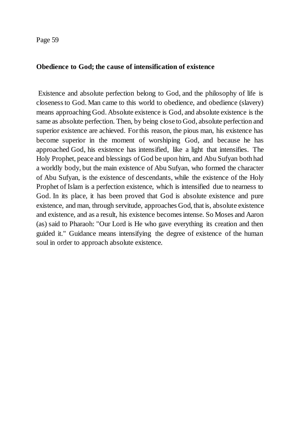#### **Obedience to God; the cause of intensification of existence**

Existence and absolute perfection belong to God, and the philosophy of life is closeness to God. Man came to this world to obedience, and obedience (slavery) means approaching God. Absolute existence is God, and absolute existence is the same as absolute perfection. Then, by being close to God, absolute perfection and superior existence are achieved. For this reason, the pious man, his existence has become superior in the moment of worshiping God, and because he has approached God, his existence has intensified, like a light that intensifies. The Holy Prophet, peace and blessings of God be upon him, and Abu Sufyan both had a worldly body, but the main existence of Abu Sufyan, who formed the character of Abu Sufyan, is the existence of descendants, while the existence of the Holy Prophet of Islam is a perfection existence, which is intensified due to nearness to God. In its place, it has been proved that God is absolute existence and pure existence, and man, through servitude, approaches God, that is, absolute existence and existence, and as a result, his existence becomes intense. So Moses and Aaron (as) said to Pharaoh: "Our Lord is He who gave everything its creation and then guided it." Guidance means intensifying the degree of existence of the human soul in order to approach absolute existence.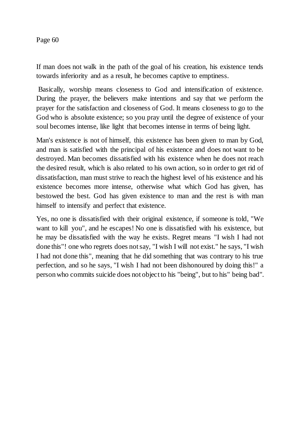If man does not walk in the path of the goal of his creation, his existence tends towards inferiority and as a result, he becomes captive to emptiness.

Basically, worship means closeness to God and intensification of existence. During the prayer, the believers make intentions and say that we perform the prayer for the satisfaction and closeness of God. It means closeness to go to the God who is absolute existence; so you pray until the degree of existence of your soul becomes intense, like light that becomes intense in terms of being light.

Man's existence is not of himself, this existence has been given to man by God, and man is satisfied with the principal of his existence and does not want to be destroyed. Man becomes dissatisfied with his existence when he does not reach the desired result, which is also related to his own action, so in order to get rid of dissatisfaction, man must strive to reach the highest level of his existence and his existence becomes more intense, otherwise what which God has given, has bestowed the best. God has given existence to man and the rest is with man himself to intensify and perfect that existence.

Yes, no one is dissatisfied with their original existence, if someone is told, "We want to kill you", and he escapes! No one is dissatisfied with his existence, but he may be dissatisfied with the way he exists. Regret means "I wish I had not done this"! one who regrets does not say, "I wish I will not exist." he says, "I wish I had not done this", meaning that he did something that was contrary to his true perfection, and so he says, "I wish I had not been dishonoured by doing this!" a person who commits suicide does not object to his "being", but to his" being bad".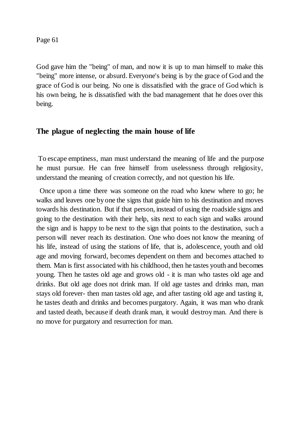God gave him the "being" of man, and now it is up to man himself to make this "being" more intense, or absurd. Everyone's being is by the grace of God and the grace of God is our being. No one is dissatisfied with the grace of God which is his own being, he is dissatisfied with the bad management that he does over this being.

# **The plague of neglecting the main house of life**

To escape emptiness, man must understand the meaning of life and the purpose he must pursue. He can free himself from uselessness through religiosity, understand the meaning of creation correctly, and not question his life.

 Once upon a time there was someone on the road who knew where to go; he walks and leaves one by one the signs that guide him to his destination and moves towards his destination. But if that person, instead of using the roadside signs and going to the destination with their help, sits next to each sign and walks around the sign and is happy to be next to the sign that points to the destination, such a person will never reach its destination. One who does not know the meaning of his life, instead of using the stations of life, that is, adolescence, youth and old age and moving forward, becomes dependent on them and becomes attached to them. Man is first associated with his childhood, then he tastes youth and becomes young. Then he tastes old age and grows old - it is man who tastes old age and drinks. But old age does not drink man. If old age tastes and drinks man, man stays old forever- then man tastes old age, and after tasting old age and tasting it, he tastes death and drinks and becomes purgatory. Again, it was man who drank and tasted death, because if death drank man, it would destroy man. And there is no move for purgatory and resurrection for man.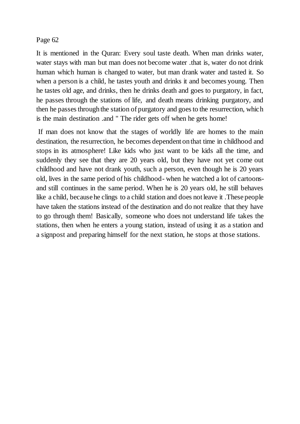It is mentioned in the Quran: Every soul taste death. When man drinks water, water stays with man but man does not become water .that is, water do not drink human which human is changed to water, but man drank water and tasted it. So when a person is a child, he tastes youth and drinks it and becomes young. Then he tastes old age, and drinks, then he drinks death and goes to purgatory, in fact, he passes through the stations of life, and death means drinking purgatory, and then he passes through the station of purgatory and goes to the resurrection, which is the main destination .and " The rider gets off when he gets home!

If man does not know that the stages of worldly life are homes to the main destination, the resurrection, he becomes dependent on that time in childhood and stops in its atmosphere! Like kids who just want to be kids all the time, and suddenly they see that they are 20 years old, but they have not yet come out childhood and have not drank youth, such a person, even though he is 20 years old, lives in the same period of his childhood- when he watched a lot of cartoonsand still continues in the same period. When he is 20 years old, he still behaves like a child, because he clings to a child station and does not leave it .These people have taken the stations instead of the destination and do not realize that they have to go through them! Basically, someone who does not understand life takes the stations, then when he enters a young station, instead of using it as a station and a signpost and preparing himself for the next station, he stops at those stations.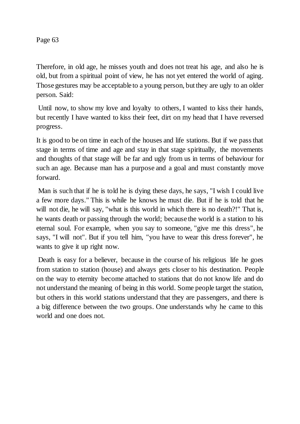Therefore, in old age, he misses youth and does not treat his age, and also he is old, but from a spiritual point of view, he has not yet entered the world of aging. Those gestures may be acceptable to a young person, but they are ugly to an older person. Said:

Until now, to show my love and loyalty to others, I wanted to kiss their hands, but recently I have wanted to kiss their feet, dirt on my head that I have reversed progress.

It is good to be on time in each of the houses and life stations. But if we pass that stage in terms of time and age and stay in that stage spiritually, the movements and thoughts of that stage will be far and ugly from us in terms of behaviour for such an age. Because man has a purpose and a goal and must constantly move forward.

Man is such that if he is told he is dying these days, he says, "I wish I could live a few more days." This is while he knows he must die. But if he is told that he will not die, he will say, "what is this world in which there is no death?!" That is, he wants death or passing through the world; because the world is a station to his eternal soul. For example, when you say to someone, "give me this dress", he says, "I will not". But if you tell him, "you have to wear this dress forever", he wants to give it up right now.

Death is easy for a believer, because in the course of his religious life he goes from station to station (house) and always gets closer to his destination. People on the way to eternity become attached to stations that do not know life and do not understand the meaning of being in this world. Some people target the station, but others in this world stations understand that they are passengers, and there is a big difference between the two groups. One understands why he came to this world and one does not.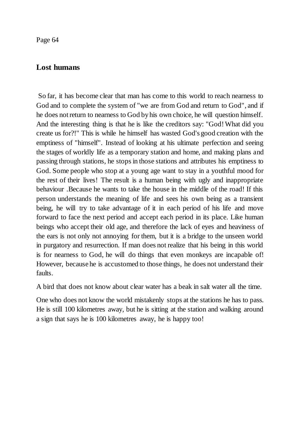# **Lost humans**

So far, it has become clear that man has come to this world to reach nearness to God and to complete the system of "we are from God and return to God", and if he does not return to nearness to God by his own choice, he will question himself. And the interesting thing is that he is like the creditors say: "God! What did you create us for?!" This is while he himself has wasted God's good creation with the emptiness of "himself". Instead of looking at his ultimate perfection and seeing the stages of worldly life as a temporary station and home, and making plans and passing through stations, he stops in those stations and attributes his emptiness to God. Some people who stop at a young age want to stay in a youthful mood for the rest of their lives! The result is a human being with ugly and inappropriate behaviour .Because he wants to take the house in the middle of the road! If this person understands the meaning of life and sees his own being as a transient being, he will try to take advantage of it in each period of his life and move forward to face the next period and accept each period in its place. Like human beings who accept their old age, and therefore the lack of eyes and heaviness of the ears is not only not annoying for them, but it is a bridge to the unseen world in purgatory and resurrection. If man does not realize that his being in this world is for nearness to God, he will do things that even monkeys are incapable of! However, because he is accustomed to those things, he does not understand their faults.

A bird that does not know about clear water has a beak in salt water all the time.

One who does not know the world mistakenly stops at the stations he has to pass. He is still 100 kilometres away, but he is sitting at the station and walking around a sign that says he is 100 kilometres away, he is happy too!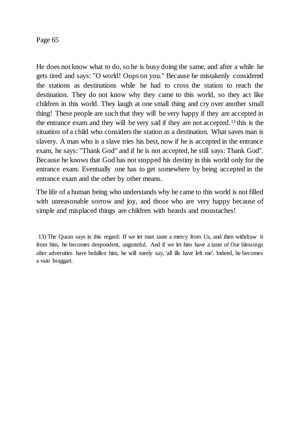He does not know what to do, so he is busy doing the same, and after a while he gets tired and says: "O world! Oops on you." Because he mistakenly considered the stations as destinations while he had to cross the station to reach the destination. They do not know why they came to this world, so they act like children in this world. They laugh at one small thing and cry over another small thing! These people are such that they will be very happy if they are accepted in the entrance exam and they will be very sad if they are not accepted.<sup>13</sup> this is the situation of a child who considers the station as a destination. What saves man is slavery. A man who is a slave tries his best, now if he is accepted in the entrance exam, he says: "Thank God" and if he is not accepted, he still says: Thank God". Because he knows that God has not stopped his destiny in this world only for the entrance exam. Eventually one has to get somewhere by being accepted in the entrance exam and the other by other means.

The life of a human being who understands why he came to this world is not filled with unreasonable sorrow and joy, and those who are very happy because of simple and misplaced things are children with beards and moustaches!

<sup>13)</sup> The Quran says in this regard: If we let man taste a mercy from Us, and then withdraw it from him, he becomes despondent, ungrateful. And if we let him have a taste of Our blessings after adversities have befallen him, he will surely say, 'all ills have left me'. Indeed, he becomes a vain braggart.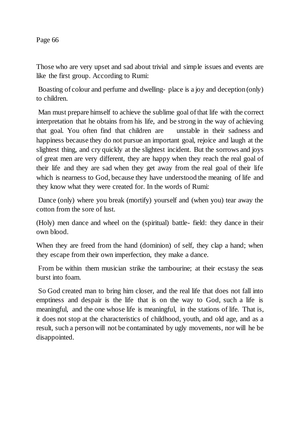Those who are very upset and sad about trivial and simple issues and events are like the first group. According to Rumi:

Boasting of colour and perfume and dwelling- place is a joy and deception (only) to children.

Man must prepare himself to achieve the sublime goal of that life with the correct interpretation that he obtains from his life, and be strong in the way of achieving that goal. You often find that children are unstable in their sadness and happiness because they do not pursue an important goal, rejoice and laugh at the slightest thing, and cry quickly at the slightest incident. But the sorrows and joys of great men are very different, they are happy when they reach the real goal of their life and they are sad when they get away from the real goal of their life which is nearness to God, because they have understood the meaning of life and they know what they were created for. In the words of Rumi:

Dance (only) where you break (mortify) yourself and (when you) tear away the cotton from the sore of lust.

(Holy) men dance and wheel on the (spiritual) battle- field: they dance in their own blood.

When they are freed from the hand (dominion) of self, they clap a hand; when they escape from their own imperfection, they make a dance.

From be within them musician strike the tambourine; at their ecstasy the seas burst into foam.

So God created man to bring him closer, and the real life that does not fall into emptiness and despair is the life that is on the way to God, such a life is meaningful, and the one whose life is meaningful, in the stations of life. That is, it does not stop at the characteristics of childhood, youth, and old age, and as a result, such a person will not be contaminated by ugly movements, nor will he be disappointed.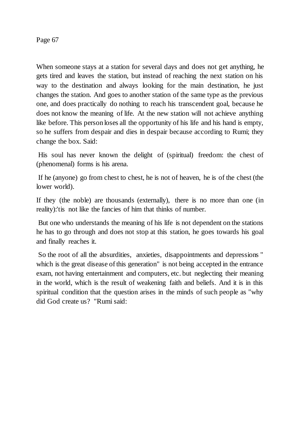When someone stays at a station for several days and does not get anything, he gets tired and leaves the station, but instead of reaching the next station on his way to the destination and always looking for the main destination, he just changes the station. And goes to another station of the same type as the previous one, and does practically do nothing to reach his transcendent goal, because he does not know the meaning of life. At the new station will not achieve anything like before. This person loses all the opportunity of his life and his hand is empty, so he suffers from despair and dies in despair because according to Rumi; they change the box. Said:

His soul has never known the delight of (spiritual) freedom: the chest of (phenomenal) forms is his arena.

If he (anyone) go from chest to chest, he is not of heaven, he is of the chest (the lower world).

If they (the noble) are thousands (externally), there is no more than one (in reality):'tis not like the fancies of him that thinks of number.

But one who understands the meaning of his life is not dependent on the stations he has to go through and does not stop at this station, he goes towards his goal and finally reaches it.

So the root of all the absurdities, anxieties, disappointments and depressions " which is the great disease of this generation" is not being accepted in the entrance exam, not having entertainment and computers, etc. but neglecting their meaning in the world, which is the result of weakening faith and beliefs. And it is in this spiritual condition that the question arises in the minds of such people as "why did God create us? "Rumi said: